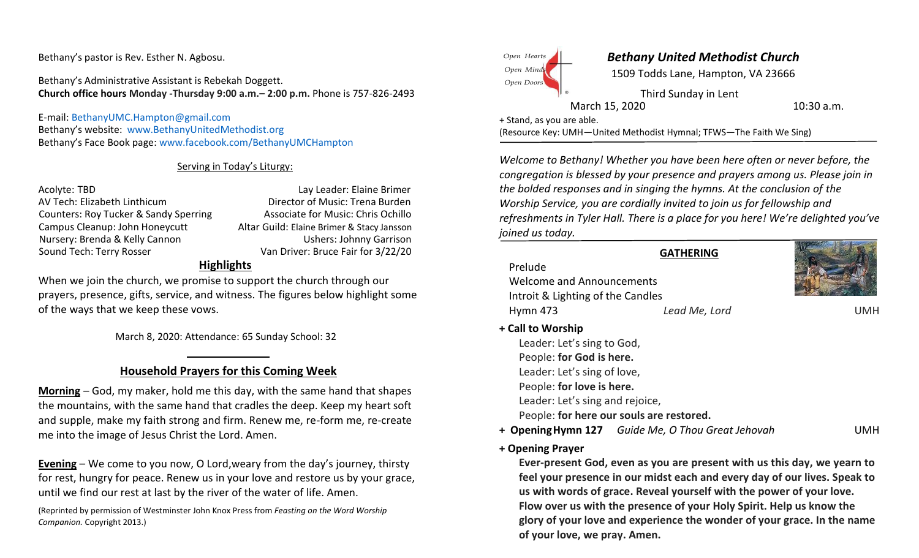Bethany's pastor is Rev. Esther N. Agbosu.

Bethany's Administrative Assistant is Rebekah Doggett. **Church office hours Monday -Thursday 9:00 a.m.– 2:00 p.m.** Phone is 757-826-2493

E-mail: [BethanyUMC.Hampton@gmail.com](mailto:BethanyMethodist@verizon.net) Bethany's website: [www.BethanyUnitedMethodist.org](http://www.bethanyunitedmethodist.org/) Bethany's Face Book page: [www.facebook.com/BethanyUMCHampton](http://www.facebook.com/BethanyUMCHampton)

## Serving in Today's Liturgy:

AV Tech: Elizabeth Linthicum Director of Music: Trena Burden Counters: Roy Tucker & Sandy Sperring **Associate for Music: Chris Ochillo** Campus Cleanup: John Honeycutt Altar Guild: Elaine Brimer & Stacy Jansson Nursery: Brenda & Kelly Cannon Ushers: Johnny Garrison Sound Tech: Terry Rosser Communication Communication Van Driver: Bruce Fair for 3/22/20

Acolyte: TBD **Lay Leader: Elaine Brimer** 

## **Highlights**

When we join the church, we promise to support the church through our prayers, presence, gifts, service, and witness. The figures below highlight some of the ways that we keep these vows.

March 8, 2020: Attendance: 65 Sunday School: 32

# **Household Prayers for this Coming Week**

**Morning** – God, my maker, hold me this day, with the same hand that shapes the mountains, with the same hand that cradles the deep. Keep my heart soft and supple, make my faith strong and firm. Renew me, re-form me, re-create me into the image of Jesus Christ the Lord. Amen.

**Evening** – We come to you now, O Lord,weary from the day's journey, thirsty for rest, hungry for peace. Renew us in your love and restore us by your grace, until we find our rest at last by the river of the water of life. Amen.

(Reprinted by permission of Westminster John Knox Press from *Feasting on the Word Worship Companion.* Copyright 2013.)



## *Bethany United Methodist Church*

1509 Todds Lane, Hampton, VA 23666

Third Sunday in Lent March 15, 2020 10:30 a.m.

+ Stand, as you are able.

(Resource Key: UMH—United Methodist Hymnal; TFWS—The Faith We Sing)

*Welcome to Bethany! Whether you have been here often or never before, the congregation is blessed by your presence and prayers among us. Please join in the bolded responses and in singing the hymns. At the conclusion of the Worship Service, you are cordially invited to join us for fellowship and refreshments in Tyler Hall. There is a place for you here! We're delighted you've joined us today.*

**GATHERING**

Hymn 473 *Lead Me, Lord* UMH Prelude Welcome and Announcements Introit & Lighting of the Candles



# **+ Call to Worship**

Leader: Let's sing to God, People: **for God is here.**  Leader: Let's sing of love, People: **for love is here.**  Leader: Let's sing and rejoice, People: **for here our souls are restored.**

- **+ OpeningHymn 127** *Guide Me, O Thou Great Jehovah* UMH
- **+ Opening Prayer**

**Ever-present God, even as you are present with us this day, we yearn to feel your presence in our midst each and every day of our lives. Speak to us with words of grace. Reveal yourself with the power of your love. Flow over us with the presence of your Holy Spirit. Help us know the glory of your love and experience the wonder of your grace. In the name of your love, we pray. Amen.**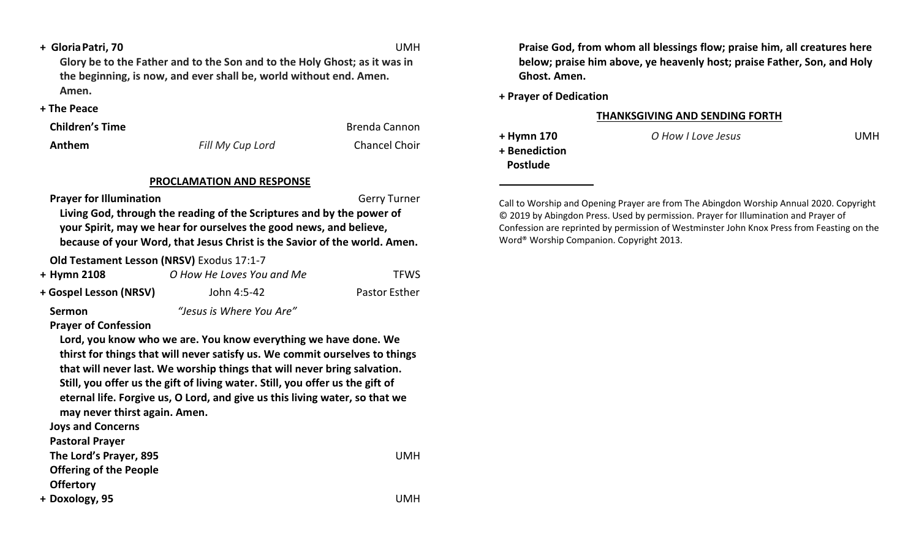**+ GloriaPatri, 70** UMH

**Glory be to the Father and to the Son and to the Holy Ghost; as it was in the beginning, is now, and ever shall be, world without end. Amen. Amen.**

**+ The Peace**

**Children's Time Brenda Cannon Brenda Cannon** 

**Anthem** *Fill My Cup Lord* Chancel Choir

### **PROCLAMATION AND RESPONSE**

**Prayer for Illumination** Gerry Turner

**Living God, through the reading of the Scriptures and by the power of your Spirit, may we hear for ourselves the good news, and believe, because of your Word, that Jesus Christ is the Savior of the world. Amen.**

**Old Testament Lesson (NRSV)** Exodus 17:1-7

| + Hymn 2108            | O How He Loves You and Me | <b>TFWS</b>          |
|------------------------|---------------------------|----------------------|
| + Gospel Lesson (NRSV) | John 4:5-42               | <b>Pastor Esther</b> |

**Sermon** *"Jesus is Where You Are"*

## **Prayer of Confession**

**Lord, you know who we are. You know everything we have done. We thirst for things that will never satisfy us. We commit ourselves to things that will never last. We worship things that will never bring salvation. Still, you offer us the gift of living water. Still, you offer us the gift of eternal life. Forgive us, O Lord, and give us this living water, so that we may never thirst again. Amen.**

**Joys and Concerns** 

**Pastoral Prayer**

**The Lord's Prayer, 895** UMH

**Offering of the People** 

**Offertory**

**+ Doxology, 95** UMH

**Praise God, from whom all blessings flow; praise him, all creatures here below; praise him above, ye heavenly host; praise Father, Son, and Holy Ghost. Amen.**

**+ Prayer of Dedication**

#### **THANKSGIVING AND SENDING FORTH**

**+ Benediction Postlude**

**+ Hymn 170** *O How I Love Jesus* UMH

Call to Worship and Opening Prayer are from The Abingdon Worship Annual 2020. Copyright © 2019 by Abingdon Press. Used by permission. Prayer for Illumination and Prayer of Confession are reprinted by permission of Westminster John Knox Press from Feasting on the Word® Worship Companion. Copyright 2013.